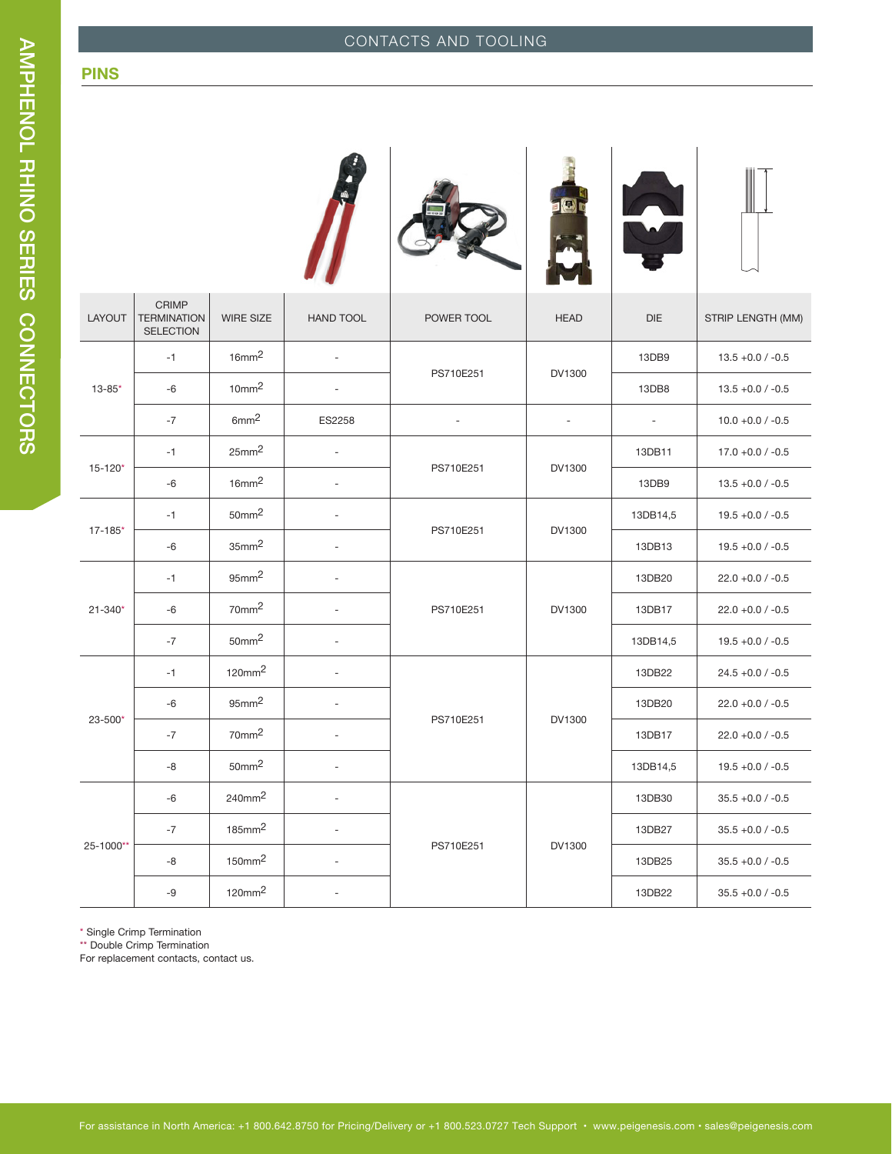| CONTACTS AND TOOLING |  |  |
|----------------------|--|--|
|----------------------|--|--|

| <b>LAHENOL RHINO SUBRIES</b> | NS                |
|------------------------------|-------------------|
|                              |                   |
| <b>CONNECTORS</b>            | LAYO<br>$13 - 85$ |
|                              |                   |

|             |                                                 |                     |                          |            | $\langle \mathbf{T}$     |                          |                     |
|-------------|-------------------------------------------------|---------------------|--------------------------|------------|--------------------------|--------------------------|---------------------|
| LAYOUT      | CRIMP<br><b>TERMINATION</b><br><b>SELECTION</b> | <b>WIRE SIZE</b>    | <b>HAND TOOL</b>         | POWER TOOL | <b>HEAD</b>              | $DIE$                    | STRIP LENGTH (MM)   |
| $13 - 85*$  | $-1$                                            | 16mm <sup>2</sup>   | $\omega$                 | PS710E251  | DV1300                   | 13DB9                    | $13.5 + 0.0 / -0.5$ |
|             | -6                                              | 10mm <sup>2</sup>   | $\overline{a}$           |            |                          | 13DB8                    | $13.5 + 0.0 / -0.5$ |
|             | $-7$                                            | 6mm <sup>2</sup>    | ES2258                   |            | $\overline{\phantom{a}}$ | $\overline{\phantom{a}}$ | $10.0 + 0.0 / -0.5$ |
| $15 - 120*$ | $-1$                                            | 25mm <sup>2</sup>   | $\overline{\phantom{a}}$ | PS710E251  | DV1300                   | 13DB11                   | $17.0 + 0.0 / -0.5$ |
|             | -6                                              | 16mm <sup>2</sup>   | $\overline{\phantom{a}}$ |            |                          | 13DB9                    | $13.5 + 0.0 / -0.5$ |
| $17 - 185*$ | $-1$                                            | 50mm <sup>2</sup>   | $\overline{\phantom{a}}$ | PS710E251  | DV1300                   | 13DB14,5                 | $19.5 + 0.0 / -0.5$ |
|             | -6                                              | 35mm <sup>2</sup>   | $\overline{\phantom{a}}$ |            |                          | 13DB13                   | $19.5 + 0.0 / -0.5$ |
|             | $-1$                                            | 95mm <sup>2</sup>   |                          | PS710E251  | DV1300                   | 13DB20                   | $22.0 + 0.0 / -0.5$ |
| $21 - 340*$ | -6                                              | 70mm <sup>2</sup>   | ä,                       |            |                          | 13DB17                   | $22.0 + 0.0 / -0.5$ |
|             | $-7$                                            | 50mm <sup>2</sup>   | $\overline{\phantom{a}}$ |            |                          | 13DB14,5                 | $19.5 + 0.0 / -0.5$ |
|             | $-1$                                            | 120mm <sup>2</sup>  | $\overline{\phantom{a}}$ | PS710E251  | DV1300                   | 13DB22                   | $24.5 + 0.0 / -0.5$ |
|             | -6                                              | 95mm <sup>2</sup>   | $\overline{\phantom{a}}$ |            |                          | 13DB20                   | $22.0 + 0.0 / -0.5$ |
| 23-500*     | $-7$                                            | 70mm <sup>2</sup>   |                          |            |                          | 13DB17                   | $22.0 + 0.0 / -0.5$ |
|             | -8                                              | 50mm <sup>2</sup>   | $\overline{\phantom{a}}$ |            |                          | 13DB14,5                 | $19.5 + 0.0 / -0.5$ |
| 25-1000**   | -6                                              | $240 \mathrm{mm}^2$ |                          | PS710E251  | DV1300                   | 13DB30                   | $35.5 + 0.0 / -0.5$ |
|             | $-7$                                            | $185$ mm $^2$       |                          |            |                          | 13DB27                   | $35.5 + 0.0 / -0.5$ |
|             | -8                                              | 150mm <sup>2</sup>  | $\overline{\phantom{a}}$ |            |                          | 13DB25                   | $35.5 + 0.0 / -0.5$ |
|             | $-9$                                            | 120mm <sup>2</sup>  | $\overline{\phantom{a}}$ |            |                          | 13DB22                   | $35.5 + 0.0 / -0.5$ |

\* Single Crimp Termination

\*\* Double Crimp Termination

For replacement contacts, contact us.